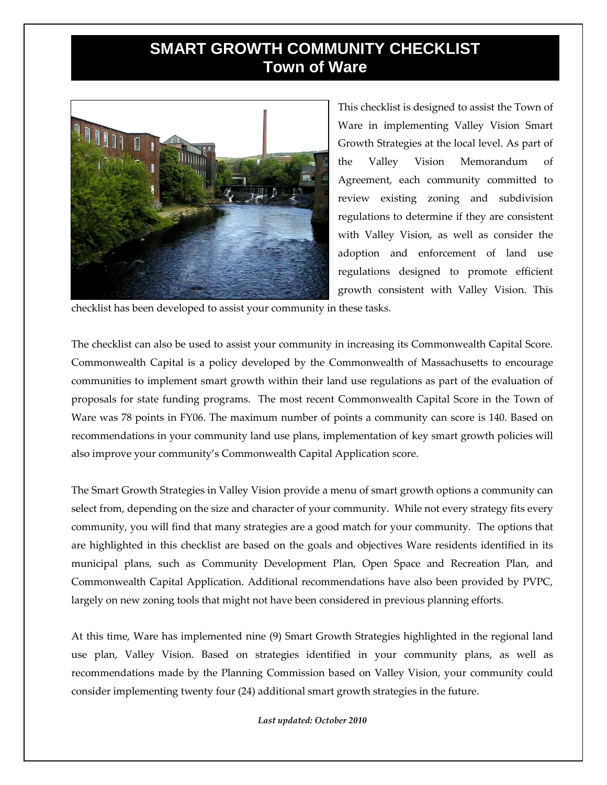## **SMART GROWTH COMMUNITY CHECKLIST Town of Ware**



This checklist is designed to assist the Town of Ware in implementing Valley Vision Smart Growth Strategies at the local level. As part of the Valley Vision Memorandum of Agreement, each community committed to review existing zoning and subdivision regulations to determine if they are consistent with Valley Vision, as well as consider the adoption and enforcement of land use regulations designed to promote efficient growth consistent with Valley Vision. This

checklist has been developed to assist your community in these tasks.

The checklist can also be used to assist your community in increasing its Commonwealth Capital Score. Commonwealth Capital is a policy developed by the Commonwealth of Massachusetts to encourage communities to implement smart growth within their land use regulations as part of the evaluation of proposals for state funding programs. The most recent Commonwealth Capital Score in the Town of Ware was 78 points in FY06. The maximum number of points a community can score is 140. Based on recommendations in your community land use plans, implementation of key smart growth policies will also improve your community's Commonwealth Capital Application score.

The Smart Growth Strategies in Valley Vision provide a menu of smart growth options a community can select from, depending on the size and character of your community. While not every strategy fits every community, you will find that many strategies are a good match for your community. The options that are highlighted in this checklist are based on the goals and objectives Ware residents identified in its municipal plans, such as Community Development Plan, Open Space and Recreation Plan, and Commonwealth Capital Application. Additional recommendations have also been provided by PVPC, largely on new zoning tools that might not have been considered in previous planning efforts.

At this time, Ware has implemented nine (9) Smart Growth Strategies highlighted in the regional land use plan, Valley Vision. Based on strategies identified in your community plans, as well as recommendations made by the Planning Commission based on Valley Vision, your community could consider implementing twenty four (24) additional smart growth strategies in the future.

*Last updated: October 2010*